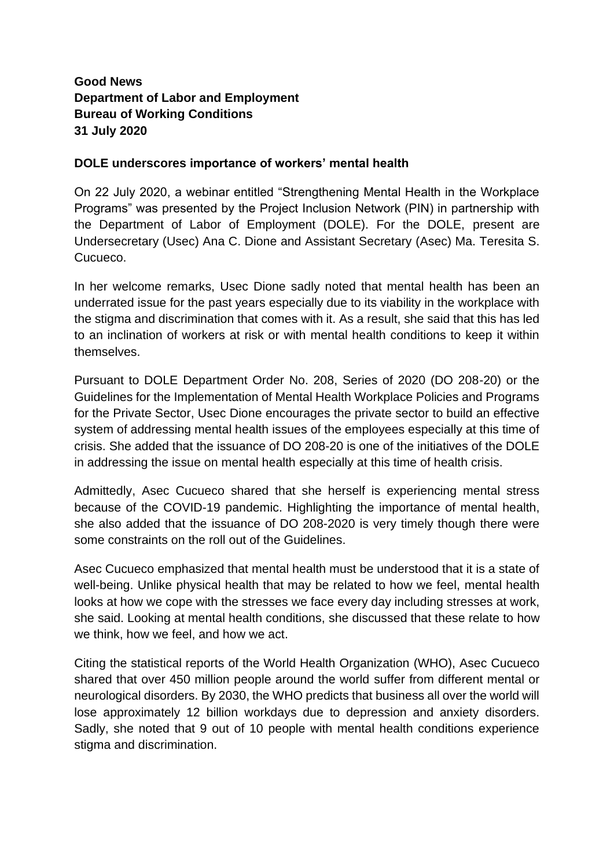## **Good News Department of Labor and Employment Bureau of Working Conditions 31 July 2020**

## **DOLE underscores importance of workers' mental health**

On 22 July 2020, a webinar entitled "Strengthening Mental Health in the Workplace Programs" was presented by the Project Inclusion Network (PIN) in partnership with the Department of Labor of Employment (DOLE). For the DOLE, present are Undersecretary (Usec) Ana C. Dione and Assistant Secretary (Asec) Ma. Teresita S. Cucueco.

In her welcome remarks, Usec Dione sadly noted that mental health has been an underrated issue for the past years especially due to its viability in the workplace with the stigma and discrimination that comes with it. As a result, she said that this has led to an inclination of workers at risk or with mental health conditions to keep it within themselves.

Pursuant to DOLE Department Order No. 208, Series of 2020 (DO 208-20) or the Guidelines for the Implementation of Mental Health Workplace Policies and Programs for the Private Sector, Usec Dione encourages the private sector to build an effective system of addressing mental health issues of the employees especially at this time of crisis. She added that the issuance of DO 208-20 is one of the initiatives of the DOLE in addressing the issue on mental health especially at this time of health crisis.

Admittedly, Asec Cucueco shared that she herself is experiencing mental stress because of the COVID-19 pandemic. Highlighting the importance of mental health, she also added that the issuance of DO 208-2020 is very timely though there were some constraints on the roll out of the Guidelines.

Asec Cucueco emphasized that mental health must be understood that it is a state of well-being. Unlike physical health that may be related to how we feel, mental health looks at how we cope with the stresses we face every day including stresses at work, she said. Looking at mental health conditions, she discussed that these relate to how we think, how we feel, and how we act.

Citing the statistical reports of the World Health Organization (WHO), Asec Cucueco shared that over 450 million people around the world suffer from different mental or neurological disorders. By 2030, the WHO predicts that business all over the world will lose approximately 12 billion workdays due to depression and anxiety disorders. Sadly, she noted that 9 out of 10 people with mental health conditions experience stigma and discrimination.